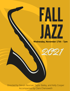# FALL JAZZ

**Wednesday, November 17th - 7pm**

2021

Directed by Stevan Rexroat, Taylor Bailey, and Kelly Cooper Accompanied by Clare Chenoweth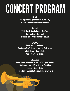## CONCERTPROGRAM

#### **Big Band**

An Ellington Tribute by Duke Ellington arr. John Berry Cantaloupe Island by Herbie Hancock arr. Mike Kamuf

**Jazz Band** Walkin Shoes by Gerry Mulligan arr. Mark Taylor South Side Blues by Doug Beach The Jazz Police by Gordon Goodwin arr. Victor Lopez

**Spotlight** Moonglow arr.Darmon Meader When October Goes (with Autumn Leaves) arr. Paul Langford AChildisBornarr. Martez L.Rucker Voice Dance arr. Greg Jasperse

**Jazz Ensemble** 

Harlem Airshaft by Duke Ellington edited by Christopher Crenshaw **Moten Swing by Buster and Benny Moten arr. Ernie Wilkins Samantha by Sammy Nestico** Rockin' in Rhythm by Duke Ellington, Irving Mills, and Harry Carney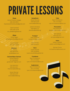## PRIVATE LESSONS

**Flute** Annie D'Amico-Vargas 630-333-8951 ExpressiveFluteStudio@gmail.com

> Cate Hummel 630-428-3278 dr\_cate@sbcglobal.net

**Oboe** Emily Fagan emilyfaganoboe@gmail.com

> Laura Neisler 815-325-6504

**Bassoon** Kim Richter 630-369-5679 kjr6840@aol.com

**Clarinet/Bass Clarinet** Garrett Matlock 617-650-8529 gmatlock811@gmail.com

Lisa Heemstra 630-636-2521 [lheemstra@sd308.org](mailto:lheemstra@sd308.org)

Stevan Rexroat 630-636-2379 [srexroat@sd308.org](mailto:srexroat@sd308.org)

**Saxophone** Stevan Rexroat 630-636-2379 [srexroat@sd308.org](mailto:srexroat@sd308.org)

Julianna Karvelius 630-608-5177 [jkarvelius@sd308.org](mailto:jkarvelius@sd308.org)

**Trumpet** Sean O'Donnell trumpet21@gmail.com

> Gene Arnold 630-554-0231

**Horn** Susan Oszvath 630-334-8640 susan.ozsvath@sbcglobal.net

**Trombone** Ryan Christianson 701-213-5354 ryan-d-christianson@live.com

**Euphonium** Ryan Christianson 701-213-5354 ryan-d-christianson@live.com

**Tuba** Ryan Christianson 701-213-5354 ryan-d-christianson@live.com

**Percussion** Dan Eastwood deastwooddrums@gmail.com

Vern Spevak 630-220-2311 vernspevak@gmail.com

**Voice** JoEllyn Caulfield joellyn.caulfield@gmail.com

Michael Thoms michaelthoms@hotmail.com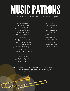## MUSICPATRONS

#### Thank you to all of our music patrons so far this school year!

Stephen Deane The Benoit Family The Hughes Family The Harrison Family Mike and Kathy Foulkes Gail and Aaron Benson The Danison Family Lever/Rhoads Family Amy Meyers Jill Hillmer Michael and Wendy Berk The Wierschem Family Brendan & Heather McKillip Brian & Denise Augustine Shawn & Dana Emery Quinlan and Fabish Music Company Hana Dahir Firefly Nights Photography Inc. The Keys Family The Roeder Family The Horst Family Andy & Jean Wessels Kirk and Melissa Peterson The Elliot Family

The English Family The Greene Family The Meyers Family Pat Brock Judy Loch Charles & Janice Kerr Denise Uthe Jennifer Porter David & Amanda Exner Troy & Kathy Davis The Marienthal Family Hometown Furniture Tindall Family The Mathison Family The Kubera Family Kandukuri Family

If you would like to make a donation to the band program, you can do so by filling out the form on the band website under Resources-Music Patron. www.oswegoeasthighschoolbands.com/music-patrons.html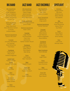Alto Saxophone Isaiah Hunt Kalae' Killingham Kameryn Rasberry Eleanna Resendiz Helena Zimmerman Vincent You

Tenor Saxophone Hayden Hrvatin Aayan Mahmood Elena Mendoza Carlson Q Schultz Andrew Walden

Baritone Saxophone Dawson McCullum

**Trumpet** Leo Jasso Mandujano Jon Kosinsky David McEachnie Trent Ward

**Trombone** Franky Huerta Riley Straub Andrew Sniegowski

**Euphonium** Payton Hastings Guitar Damian Hernandez

> Piano Sean Elliot

Bass Josh Kwong

Drum Set Gabbie Salazar Aidan Schield

Vibes Gavin Macanip

### BIG BAND JAZZ BAND

Alto Saxophone Elias Castaneda Payton Doege Jakub Kusnierz Stacey Schroeder Sarah Wierschem

Tenor Saxophone Karthik Thangasaravanan Jenna Tindall

Baritone Saxophone Aidan Collins

Trumpet Logan Boyles Paul Bramstedt Clark Chen Jacob Jones Nathan Vanden Heuvel

> **Trombone** Cale Augustine Dallas Dillson Bryn Meyers Matt Mindy

Piano Josh Kwong Marc Townsend

**Bass** Hayden Hrvatin

Drum Set Nathan Keys Payton McCullum

Vibes Austin Mathison

### JAZZ ENSEMBLE

Alto Saxophone Alex Benson Sean Elliot Stacey Schroeder

Tenor Saxophone Melanie Farr Greg Lazatin

Baritone Saxophone Connor Harrison

Trumpet Dyan Funk Miles Mosher Josh Peterson Andrew Sniegowski Steve Williams

> Trombone Katie Dunn Dallas Gillson Tyler Ouellette

Bass Trombone Farris Elkhatib

> Guitar Logan Notte

Piano Campbell Drane Gavin Rommen

**Bass** Spencer Massey

Drum Set Josh Kwong Ryan Weaver

### SPOTLIGHT

Soprano Morgan Brown Teja Davis McKenna Lee Allison Mensik Gia Zapanta

Alto Morgan Elliott Grace Marienthal Alyssa Tilford Izzy Weber

> Tenor Bryn Meyers Parker Nold Brock Stanley

**Bass** Luke Exner Brenden Keller